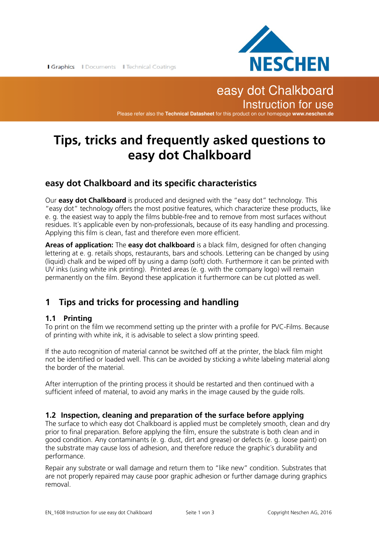

## easy dot Chalkboard Instruction for use Please refer also the **Technical Datasheet** for this product on our homepage **www.neschen.de**

# **Tips, tricks and frequently asked questions to easy dot Chalkboard**

### **easy dot Chalkboard and its specific characteristics**

Our **easy dot Chalkboard** is produced and designed with the "easy dot" technology. This "easy dot" technology offers the most positive features, which characterize these products, like e. g. the easiest way to apply the films bubble-free and to remove from most surfaces without residues. It´s applicable even by non-professionals, because of its easy handling and processing. Applying this film is clean, fast and therefore even more efficient.

**Areas of application:** The **easy dot chalkboard** is a black film, designed for often changing lettering at e. g. retails shops, restaurants, bars and schools. Lettering can be changed by using (liquid) chalk and be wiped off by using a damp (soft) cloth. Furthermore it can be printed with UV inks (using white ink printing). Printed areas (e. g. with the company logo) will remain permanently on the film. Beyond these application it furthermore can be cut plotted as well.

## **1 Tips and tricks for processing and handling**

### **1.1 Printing**

To print on the film we recommend setting up the printer with a profile for PVC-Films. Because of printing with white ink, it is advisable to select a slow printing speed.

If the auto recognition of material cannot be switched off at the printer, the black film might not be identified or loaded well. This can be avoided by sticking a white labeling material along the border of the material.

After interruption of the printing process it should be restarted and then continued with a sufficient infeed of material, to avoid any marks in the image caused by the guide rolls.

### **1.2 Inspection, cleaning and preparation of the surface before applying**

The surface to which easy dot Chalkboard is applied must be completely smooth, clean and dry prior to final preparation. Before applying the film, ensure the substrate is both clean and in good condition. Any contaminants (e. g. dust, dirt and grease) or defects (e. g. loose paint) on the substrate may cause loss of adhesion, and therefore reduce the graphic´s durability and performance.

Repair any substrate or wall damage and return them to "like new" condition. Substrates that are not properly repaired may cause poor graphic adhesion or further damage during graphics removal.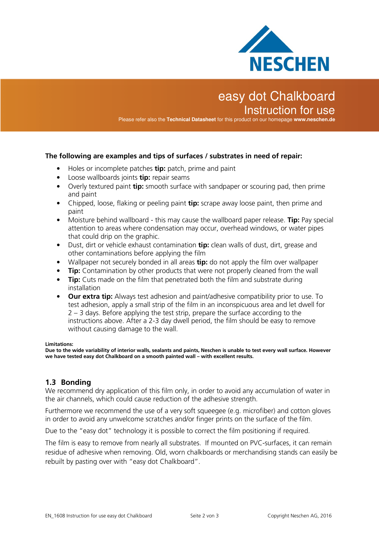

# easy dot Chalkboard Instruction for use

Please refer also the **Technical Datasheet** for this product on our homepage **www.neschen.de**

#### **The following are examples and tips of surfaces / substrates in need of repair:**

- Holes or incomplete patches **tip:** patch, prime and paint
- Loose wallboards joints **tip:** repair seams
- Overly textured paint **tip:** smooth surface with sandpaper or scouring pad, then prime and paint
- Chipped, loose, flaking or peeling paint **tip:** scrape away loose paint, then prime and paint
- Moisture behind wallboard this may cause the wallboard paper release. **Tip:** Pay special attention to areas where condensation may occur, overhead windows, or water pipes that could drip on the graphic.
- Dust, dirt or vehicle exhaust contamination **tip:** clean walls of dust, dirt, grease and other contaminations before applying the film
- Wallpaper not securely bonded in all areas **tip:** do not apply the film over wallpaper
- **Tip:** Contamination by other products that were not properly cleaned from the wall
- **Tip:** Cuts made on the film that penetrated both the film and substrate during installation
- **Our extra tip:** Always test adhesion and paint/adhesive compatibility prior to use. To test adhesion, apply a small strip of the film in an inconspicuous area and let dwell for 2 – 3 days. Before applying the test strip, prepare the surface according to the instructions above. After a 2-3 day dwell period, the film should be easy to remove without causing damage to the wall.

#### **Limitations:**

**Due to the wide variability of interior walls, sealants and paints, Neschen is unable to test every wall surface. However we have tested easy dot Chalkboard on a smooth painted wall – with excellent results.**

#### **1.3 Bonding**

We recommend dry application of this film only, in order to avoid any accumulation of water in the air channels, which could cause reduction of the adhesive strength.

Furthermore we recommend the use of a very soft squeegee (e.g. microfiber) and cotton gloves in order to avoid any unwelcome scratches and/or finger prints on the surface of the film.

Due to the "easy dot" technology it is possible to correct the film positioning if required.

The film is easy to remove from nearly all substrates. If mounted on PVC-surfaces, it can remain residue of adhesive when removing. Old, worn chalkboards or merchandising stands can easily be rebuilt by pasting over with "easy dot Chalkboard".